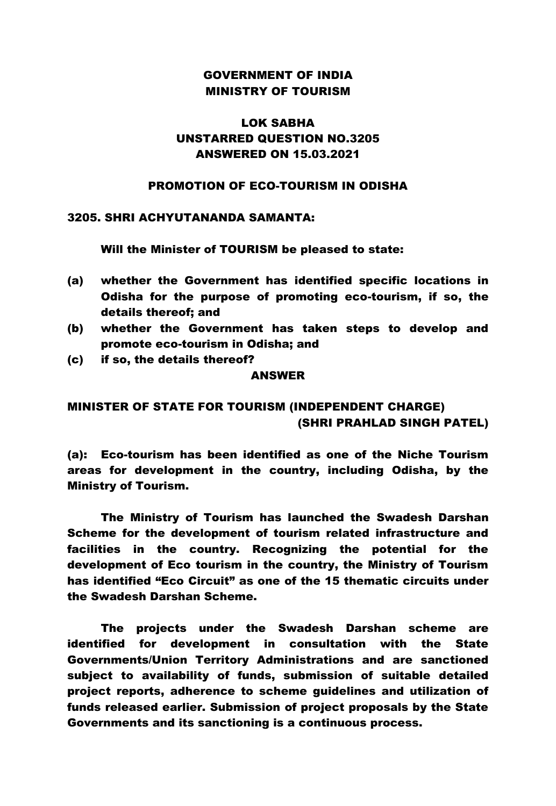### GOVERNMENT OF INDIA MINISTRY OF TOURISM

## LOK SABHA UNSTARRED QUESTION NO.3205 ANSWERED ON 15.03.2021

### PROMOTION OF ECO-TOURISM IN ODISHA

### 3205. SHRI ACHYUTANANDA SAMANTA:

Will the Minister of TOURISM be pleased to state:

- (a) whether the Government has identified specific locations in Odisha for the purpose of promoting eco-tourism, if so, the details thereof; and
- (b) whether the Government has taken steps to develop and promote eco-tourism in Odisha; and
- (c) if so, the details thereof?

#### ANSWER

# MINISTER OF STATE FOR TOURISM (INDEPENDENT CHARGE) (SHRI PRAHLAD SINGH PATEL)

(a): Eco-tourism has been identified as one of the Niche Tourism areas for development in the country, including Odisha, by the Ministry of Tourism.

The Ministry of Tourism has launched the Swadesh Darshan Scheme for the development of tourism related infrastructure and facilities in the country. Recognizing the potential for the development of Eco tourism in the country, the Ministry of Tourism has identified "Eco Circuit" as one of the 15 thematic circuits under the Swadesh Darshan Scheme.

The projects under the Swadesh Darshan scheme are identified for development in consultation with the State Governments/Union Territory Administrations and are sanctioned subject to availability of funds, submission of suitable detailed project reports, adherence to scheme guidelines and utilization of funds released earlier. Submission of project proposals by the State Governments and its sanctioning is a continuous process.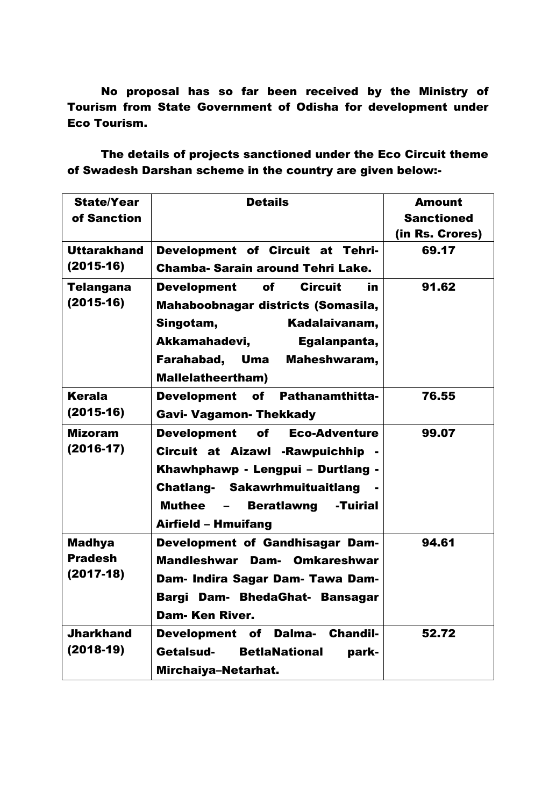No proposal has so far been received by the Ministry of Tourism from State Government of Odisha for development under Eco Tourism.

The details of projects sanctioned under the Eco Circuit theme of Swadesh Darshan scheme in the country are given below:-

| <b>State/Year</b><br>of Sanction               | <b>Details</b>                                                                                                                                                                                                                       | <b>Amount</b><br><b>Sanctioned</b><br>(in Rs. Crores) |
|------------------------------------------------|--------------------------------------------------------------------------------------------------------------------------------------------------------------------------------------------------------------------------------------|-------------------------------------------------------|
| <b>Uttarakhand</b><br>$(2015-16)$              | Development of Circuit at Tehri-<br>Chamba- Sarain around Tehri Lake.                                                                                                                                                                | 69.17                                                 |
| <b>Telangana</b><br>$(2015-16)$                | <b>Circuit</b><br><b>Development</b><br>of<br>in<br>Mahaboobnagar districts (Somasila,<br>Singotam,<br>Kadalaivanam,<br>Akkamahadevi,<br>Egalanpanta,<br>Farahabad, Uma<br>Maheshwaram,<br><b>Mallelatheertham)</b>                  | 91.62                                                 |
| Kerala<br>$(2015-16)$                          | Development of Pathanamthitta-<br><b>Gavi- Vagamon- Thekkady</b>                                                                                                                                                                     | 76.55                                                 |
| <b>Mizoram</b><br>$(2016-17)$                  | <b>Development</b><br>of<br><b>Eco-Adventure</b><br>Circuit at Aizawl - Rawpuichhip -<br>Khawhphawp - Lengpui - Durtlang -<br><b>Chatlang- Sakawrhmuituaitlang</b><br>Muthee<br><b>Beratlawng</b><br>-Tuirial<br>Airfield - Hmuifang | 99.07                                                 |
| <b>Madhya</b><br><b>Pradesh</b><br>$(2017-18)$ | Development of Gandhisagar Dam-<br>Mandleshwar Dam- Omkareshwar<br>Dam- Indira Sagar Dam- Tawa Dam-<br>Bargi<br>Dam- BhedaGhat- Bansagar<br><b>Dam-Ken River.</b>                                                                    | 94.61                                                 |
| <b>Jharkhand</b><br>$(2018-19)$                | <b>Development</b><br>of<br>Dalma-<br><b>Chandil-</b><br>Getalsud-<br><b>BetlaNational</b><br>park-<br>Mirchaiya-Netarhat.                                                                                                           | 52.72                                                 |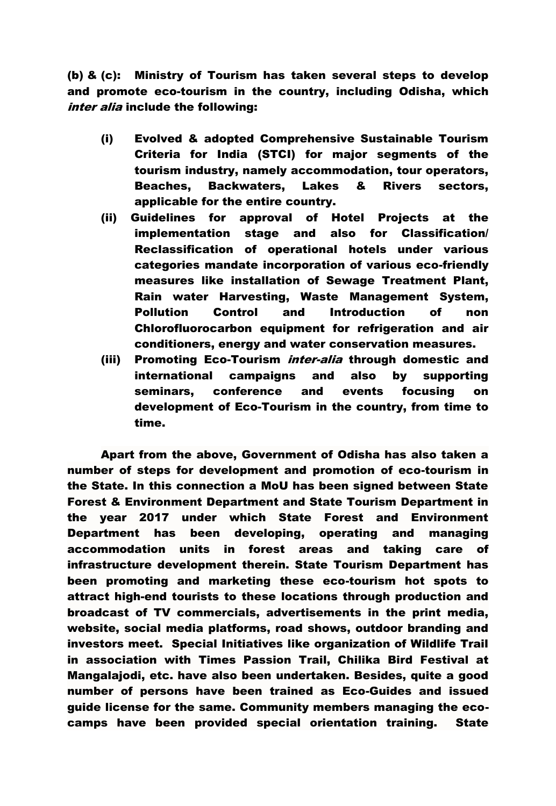(b) & (c): Ministry of Tourism has taken several steps to develop and promote eco-tourism in the country, including Odisha, which inter alia include the following:

- (i) Evolved & adopted Comprehensive Sustainable Tourism Criteria for India (STCI) for major segments of the tourism industry, namely accommodation, tour operators, Beaches, Backwaters, Lakes & Rivers sectors, applicable for the entire country.
- (ii) Guidelines for approval of Hotel Projects at the implementation stage and also for Classification/ Reclassification of operational hotels under various categories mandate incorporation of various eco-friendly measures like installation of Sewage Treatment Plant, Rain water Harvesting, Waste Management System, Pollution Control and Introduction of non Chlorofluorocarbon equipment for refrigeration and air conditioners, energy and water conservation measures.
- (iii) Promoting Eco-Tourism *inter-alia* through domestic and international campaigns and also by supporting seminars, conference and events focusing on development of Eco-Tourism in the country, from time to time.

Apart from the above, Government of Odisha has also taken a number of steps for development and promotion of eco-tourism in the State. In this connection a MoU has been signed between State Forest & Environment Department and State Tourism Department in the year 2017 under which State Forest and Environment Department has been developing, operating and managing accommodation units in forest areas and taking care of infrastructure development therein. State Tourism Department has been promoting and marketing these eco-tourism hot spots to attract high-end tourists to these locations through production and broadcast of TV commercials, advertisements in the print media, website, social media platforms, road shows, outdoor branding and investors meet. Special Initiatives like organization of Wildlife Trail in association with Times Passion Trail, Chilika Bird Festival at Mangalajodi, etc. have also been undertaken. Besides, quite a good number of persons have been trained as Eco-Guides and issued guide license for the same. Community members managing the ecocamps have been provided special orientation training. State